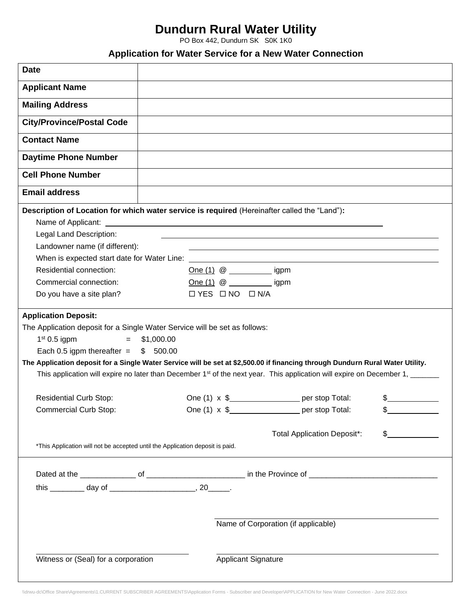## **Dundurn Rural Water Utility**

PO Box 442, Dundurn SK S0K 1K0

## **Application for Water Service for a New Water Connection**

| <b>Date</b>                                                                                  |                                     |                                                                                                                                          |    |
|----------------------------------------------------------------------------------------------|-------------------------------------|------------------------------------------------------------------------------------------------------------------------------------------|----|
| <b>Applicant Name</b>                                                                        |                                     |                                                                                                                                          |    |
| <b>Mailing Address</b>                                                                       |                                     |                                                                                                                                          |    |
| <b>City/Province/Postal Code</b>                                                             |                                     |                                                                                                                                          |    |
| <b>Contact Name</b>                                                                          |                                     |                                                                                                                                          |    |
| <b>Daytime Phone Number</b>                                                                  |                                     |                                                                                                                                          |    |
| <b>Cell Phone Number</b>                                                                     |                                     |                                                                                                                                          |    |
| <b>Email address</b>                                                                         |                                     |                                                                                                                                          |    |
| Description of Location for which water service is required (Hereinafter called the "Land"): |                                     |                                                                                                                                          |    |
| Name of Applicant:                                                                           |                                     | <u> 1989 - Johann Stein, mars an deus Amerikaansk kommunister (* 1958)</u>                                                               |    |
| Legal Land Description:                                                                      |                                     |                                                                                                                                          |    |
| Landowner name (if different):                                                               |                                     |                                                                                                                                          |    |
| When is expected start date for Water Line:                                                  |                                     |                                                                                                                                          |    |
| Residential connection:                                                                      |                                     | One $(1)$ @ ______________ igpm                                                                                                          |    |
| Commercial connection:                                                                       |                                     |                                                                                                                                          |    |
| Do you have a site plan?                                                                     | $\Box$ YES $\Box$ NO $\Box$ N/A     |                                                                                                                                          |    |
| <b>Application Deposit:</b>                                                                  |                                     |                                                                                                                                          |    |
| The Application deposit for a Single Water Service will be set as follows:                   |                                     |                                                                                                                                          |    |
| $1st 0.5$ igpm<br>$=$ $-$                                                                    | \$1,000.00                          |                                                                                                                                          |    |
| Each 0.5 igpm thereafter = $$500.00$                                                         |                                     |                                                                                                                                          |    |
|                                                                                              |                                     | The Application deposit for a Single Water Service will be set at \$2,500.00 if financing through Dundurn Rural Water Utility.           |    |
|                                                                                              |                                     | This application will expire no later than December 1 <sup>st</sup> of the next year. This application will expire on December 1, ______ |    |
| <b>Residential Curb Stop:</b>                                                                |                                     | One (1) x \$_____________________ per stop Total:                                                                                        |    |
| <b>Commercial Curb Stop:</b>                                                                 |                                     | One $(1) \times$ \$<br>per stop Total:                                                                                                   | \$ |
|                                                                                              |                                     | <b>Total Application Deposit*:</b>                                                                                                       | \$ |
| *This Application will not be accepted until the Application deposit is paid.                |                                     |                                                                                                                                          |    |
|                                                                                              |                                     |                                                                                                                                          |    |
|                                                                                              |                                     |                                                                                                                                          |    |
|                                                                                              |                                     |                                                                                                                                          |    |
|                                                                                              |                                     |                                                                                                                                          |    |
|                                                                                              | Name of Corporation (if applicable) |                                                                                                                                          |    |
| Witness or (Seal) for a corporation                                                          |                                     | <b>Applicant Signature</b>                                                                                                               |    |

\\drwu-dc\Office Share\Agreements\1.CURRENT SUBSCRIBER AGREEMENTS\Application Forms - Subscriber and Developer\APPLICATION for New Water Connection - June 2022.docx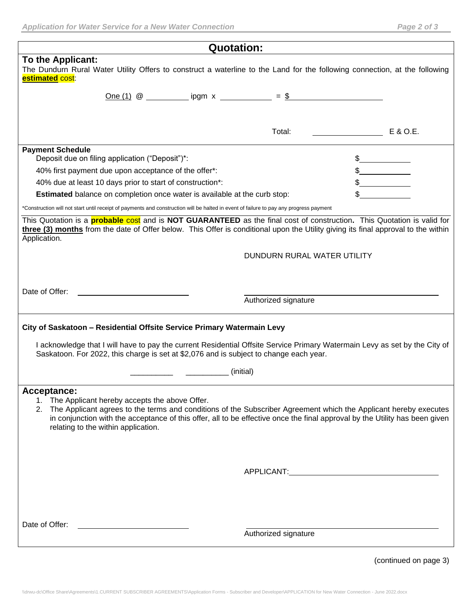| <b>Quotation:</b>                                                                                                                                                                                                                                                                                                                                            |                                                                       |  |  |  |
|--------------------------------------------------------------------------------------------------------------------------------------------------------------------------------------------------------------------------------------------------------------------------------------------------------------------------------------------------------------|-----------------------------------------------------------------------|--|--|--|
| To the Applicant:<br>The Dundurn Rural Water Utility Offers to construct a waterline to the Land for the following connection, at the following<br>estimated cost:                                                                                                                                                                                           |                                                                       |  |  |  |
| <u>One (1)</u> @ _____________ ipgm x _____________ = \$                                                                                                                                                                                                                                                                                                     |                                                                       |  |  |  |
|                                                                                                                                                                                                                                                                                                                                                              |                                                                       |  |  |  |
|                                                                                                                                                                                                                                                                                                                                                              |                                                                       |  |  |  |
|                                                                                                                                                                                                                                                                                                                                                              | Total:<br>E & O.E.<br><u> 1990 - John Stone, amerikansk politiker</u> |  |  |  |
| <b>Payment Schedule</b><br>Deposit due on filing application ("Deposit")*:                                                                                                                                                                                                                                                                                   | $\frac{1}{2}$                                                         |  |  |  |
| 40% first payment due upon acceptance of the offer*:                                                                                                                                                                                                                                                                                                         | $\frac{1}{2}$                                                         |  |  |  |
| 40% due at least 10 days prior to start of construction*:                                                                                                                                                                                                                                                                                                    |                                                                       |  |  |  |
| <b>Estimated</b> balance on completion once water is available at the curb stop:                                                                                                                                                                                                                                                                             |                                                                       |  |  |  |
| *Construction will not start until receipt of payments and construction will be halted in event of failure to pay any progress payment                                                                                                                                                                                                                       |                                                                       |  |  |  |
| This Quotation is a <b>probable cost</b> and is <b>NOT GUARANTEED</b> as the final cost of construction. This Quotation is valid for<br>three (3) months from the date of Offer below. This Offer is conditional upon the Utility giving its final approval to the within<br>Application.                                                                    |                                                                       |  |  |  |
|                                                                                                                                                                                                                                                                                                                                                              | DUNDURN RURAL WATER UTILITY                                           |  |  |  |
|                                                                                                                                                                                                                                                                                                                                                              |                                                                       |  |  |  |
|                                                                                                                                                                                                                                                                                                                                                              |                                                                       |  |  |  |
| Date of Offer:                                                                                                                                                                                                                                                                                                                                               |                                                                       |  |  |  |
|                                                                                                                                                                                                                                                                                                                                                              | Authorized signature                                                  |  |  |  |
| City of Saskatoon - Residential Offsite Service Primary Watermain Levy<br>I acknowledge that I will have to pay the current Residential Offsite Service Primary Watermain Levy as set by the City of                                                                                                                                                         |                                                                       |  |  |  |
| Saskatoon. For 2022, this charge is set at \$2,076 and is subject to change each year.                                                                                                                                                                                                                                                                       |                                                                       |  |  |  |
| (initial)<br><u> Alexandria (h. 1888).</u><br>Nobel de Alexandria (h. 1888).                                                                                                                                                                                                                                                                                 |                                                                       |  |  |  |
| Acceptance:<br>1. The Applicant hereby accepts the above Offer.<br>2. The Applicant agrees to the terms and conditions of the Subscriber Agreement which the Applicant hereby executes<br>in conjunction with the acceptance of this offer, all to be effective once the final approval by the Utility has been given<br>relating to the within application. |                                                                       |  |  |  |
|                                                                                                                                                                                                                                                                                                                                                              |                                                                       |  |  |  |
| Date of Offer:                                                                                                                                                                                                                                                                                                                                               | Authorized signature                                                  |  |  |  |

(continued on page 3)